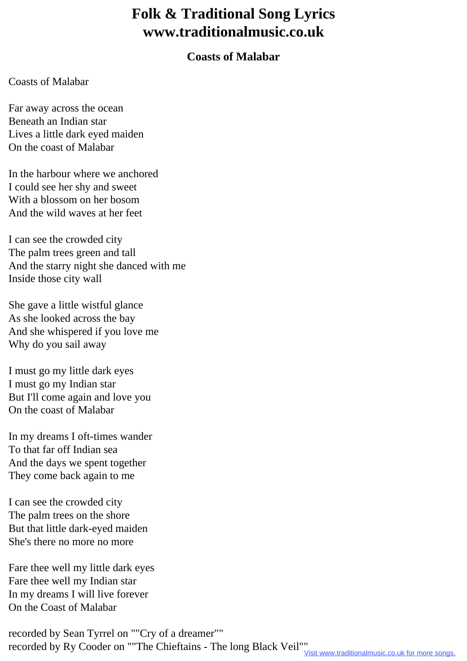## **Folk & Traditional Song Lyrics www.traditionalmusic.co.uk**

## **Coasts of Malabar**

## Coasts of Malabar

Far away across the ocean Beneath an Indian star Lives a little dark eyed maiden On the coast of Malabar

In the harbour where we anchored I could see her shy and sweet With a blossom on her bosom And the wild waves at her feet

I can see the crowded city The palm trees green and tall And the starry night she danced with me Inside those city wall

She gave a little wistful glance As she looked across the bay And she whispered if you love me Why do you sail away

I must go my little dark eyes I must go my Indian star But I'll come again and love you On the coast of Malabar

In my dreams I oft-times wander To that far off Indian sea And the days we spent together They come back again to me

I can see the crowded city The palm trees on the shore But that little dark-eyed maiden She's there no more no more

Fare thee well my little dark eyes Fare thee well my Indian star In my dreams I will live forever On the Coast of Malabar

recorded by Sean Tyrrel on ""Cry of a dreamer"" recorded by Ry Cooder on ""The Chieftains - The long Black Veil""<br>Visit www.traditionalmusic.co.uk for more songs.